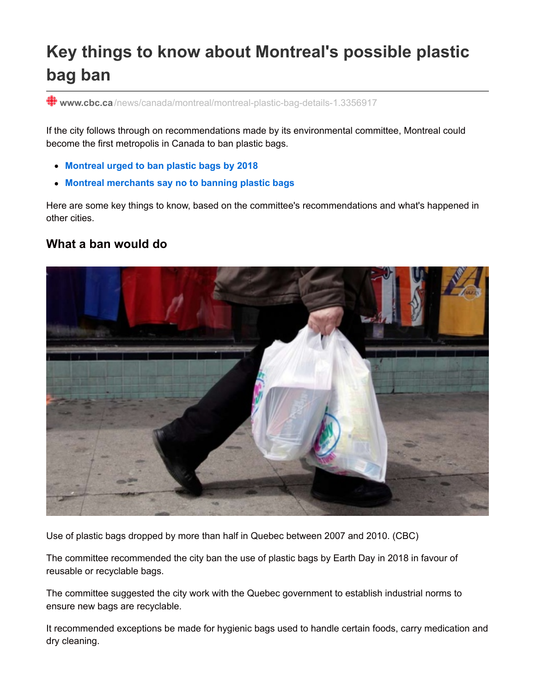# **Key things to know about Montreal's possible plastic bag ban**

**www.cbc.ca** [/news/canada/montreal/montreal-plastic-bag-details-1.3356917](http://www.cbc.ca/news/canada/montreal/montreal-plastic-bag-details-1.3356917)

If the city follows through on recommendations made by its environmental committee, Montreal could become the first metropolis in Canada to ban plastic bags.

- **[Montreal](http://www.cbc.ca/news/canada/montreal/montreal-plastic-bag-ban-1.3354939) urged to ban plastic bags by 2018**
- **Montreal [merchants](http://www.cbc.ca/news/canada/montreal/montreal-merchants-say-no-to-banning-plastic-bags-1.3099623) say no to banning plastic bags**

Here are some key things to know, based on the committee's recommendations and what's happened in other cities.

## **What a ban would do**



Use of plastic bags dropped by more than half in Quebec between 2007 and 2010. (CBC)

The committee recommended the city ban the use of plastic bags by Earth Day in 2018 in favour of reusable or recyclable bags.

The committee suggested the city work with the Quebec government to establish industrial norms to ensure new bags are recyclable.

It recommended exceptions be made for hygienic bags used to handle certain foods, carry medication and dry cleaning.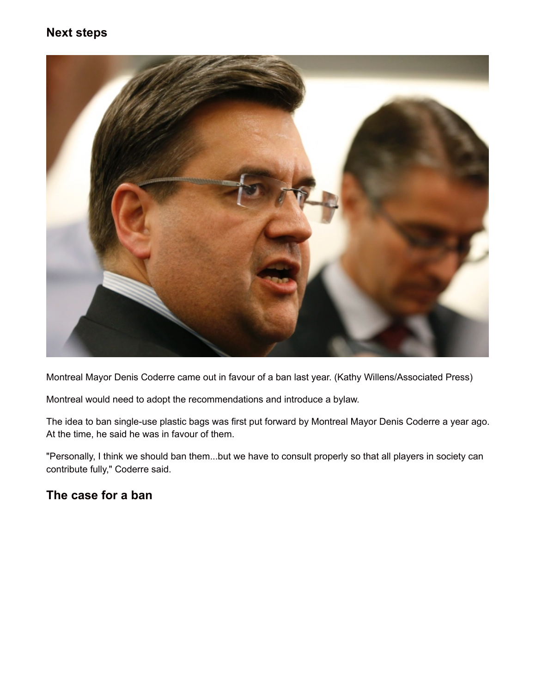## **Next steps**



Montreal Mayor Denis Coderre came out in favour of a ban last year. (Kathy Willens/Associated Press)

Montreal would need to adopt the recommendations and introduce a bylaw.

The idea to ban single-use plastic bags was first put forward by Montreal Mayor Denis Coderre a year ago. At the time, he said he was in favour of them.

"Personally, I think we should ban them...but we have to consult properly so that all players in society can contribute fully," Coderre said.

## **The case for a ban**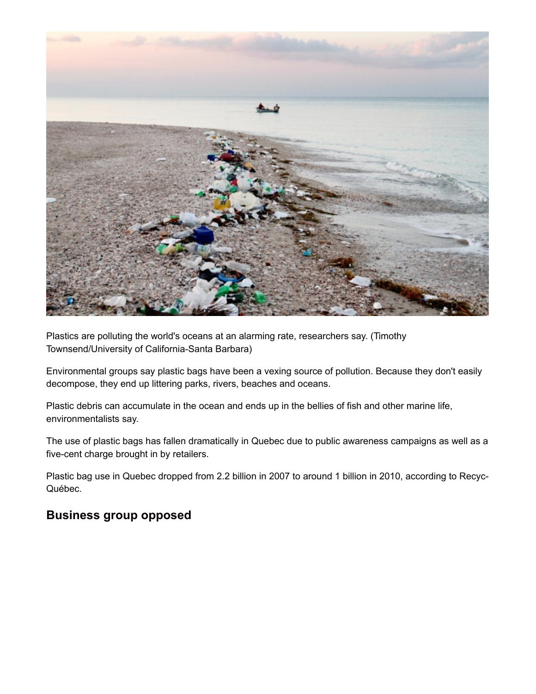

Plastics are polluting the world's oceans at an alarming rate, researchers say. (Timothy Townsend/University of California-Santa Barbara)

Environmental groups say plastic bags have been a vexing source of pollution. Because they don't easily decompose, they end up littering parks, rivers, beaches and oceans.

Plastic debris can accumulate in the ocean and ends up in the bellies of fish and other marine life, environmentalists say.

The use of plastic bags has fallen dramatically in Quebec due to public awareness campaigns as well as a five-cent charge brought in by retailers.

Plastic bag use in Quebec dropped from 2.2 billion in 2007 to around 1 billion in 2010, according to Recyc-Québec.

## **Business group opposed**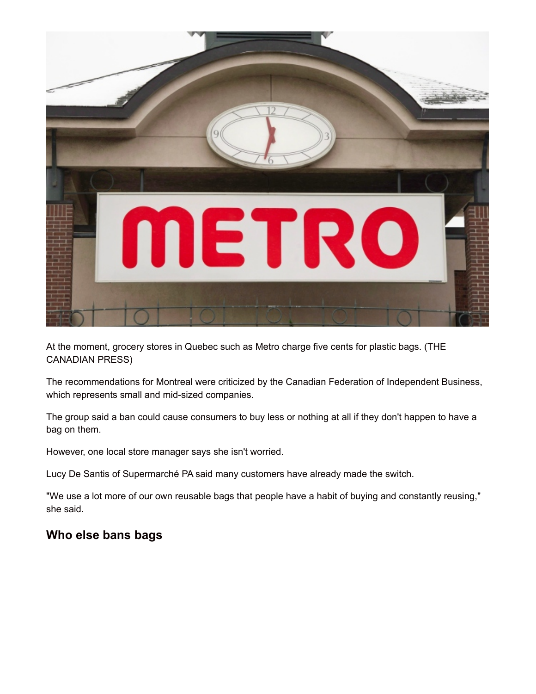

At the moment, grocery stores in Quebec such as Metro charge five cents for plastic bags. (THE CANADIAN PRESS)

The recommendations for Montreal were criticized by the Canadian Federation of Independent Business, which represents small and mid-sized companies.

The group said a ban could cause consumers to buy less or nothing at all if they don't happen to have a bag on them.

However, one local store manager says she isn't worried.

Lucy De Santis of Supermarché PA said many customers have already made the switch.

"We use a lot more of our own reusable bags that people have a habit of buying and constantly reusing," she said.

## **Who else bans bags**